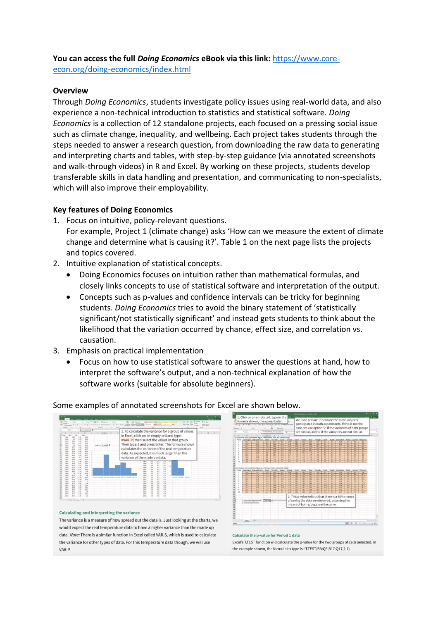## **You can access the full** *Doing Economics* **eBook via this link:** [https://www.core-](https://www.core-econ.org/doing-economics/index.html)

[econ.org/doing-economics/index.html](https://www.core-econ.org/doing-economics/index.html)

## **Overview**

Through *Doing Economics*, students investigate policy issues using real-world data, and also experience a non-technical introduction to statistics and statistical software. *Doing Economics* is a collection of 12 standalone projects, each focused on a pressing social issue such as climate change, inequality, and wellbeing. Each project takes students through the steps needed to answer a research question, from downloading the raw data to generating and interpreting charts and tables, with step-by-step guidance (via annotated screenshots and walk-through videos) in R and Excel. By working on these projects, students develop transferable skills in data handling and presentation, and communicating to non-specialists, which will also improve their employability.

## **Key features of Doing Economics**

- 1. Focus on intuitive, policy-relevant questions. For example, Project 1 (climate change) asks 'How can we measure the extent of climate change and determine what is causing it?'. Table 1 on the next page lists the projects and topics covered.
- 2. Intuitive explanation of statistical concepts.
	- Doing Economics focuses on intuition rather than mathematical formulas, and closely links concepts to use of statistical software and interpretation of the output.
	- Concepts such as p-values and confidence intervals can be tricky for beginning students. *Doing Economics* tries to avoid the binary statement of 'statistically significant/not statistically significant' and instead gets students to think about the likelihood that the variation occurred by chance, effect size, and correlation vs. causation.
- 3. Emphasis on practical implementation
	- Focus on how to use statistical software to answer the questions at hand, how to interpret the software's output, and a non-technical explanation of how the software works (suitable for absolute beginners).



## Some examples of annotated screenshots for Excel are shown below.

#### **Calculating and interpreting the variance**

The variance is a measure of how spread out the data is. Just looking at the charts, we would expect the real temperature data to have a higher variance than the made up data. Note: There is a similar function in Excel called VAR.S, which is used to calculate the variance for other types of data. For this temperature data though, we will use VAR.P.



#### Calculate the p-value for Period 1 data

Excel's T.TEST function will calculate the p-value for the two groups of cells selected. In the example shown, the formula to type is =T.TEST(B3:Q3,B17:Q17,2,1).